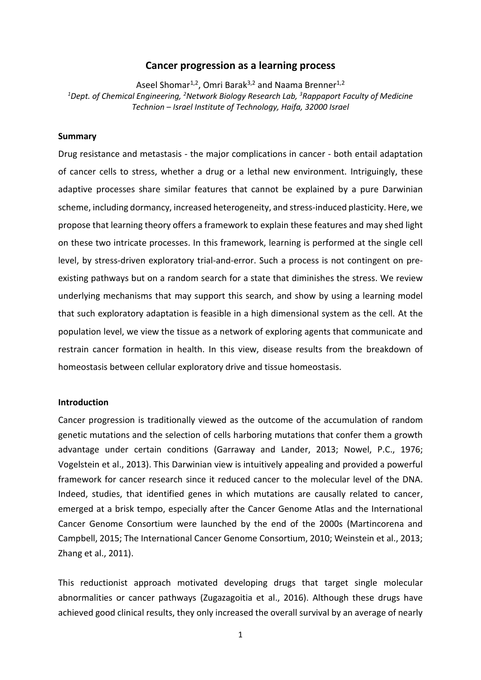# **Cancer progression as a learning process**

Aseel Shomar<sup>1,2</sup>, Omri Barak<sup>3,2</sup> and Naama Brenner<sup>1,2</sup> *<sup>1</sup>Dept. of Chemical Engineering, <sup>2</sup>Network Biology Research Lab, <sup>3</sup>Rappaport Faculty of Medicine Technion – Israel Institute of Technology, Haifa, 32000 Israel*

# **Summary**

Drug resistance and metastasis - the major complications in cancer - both entail adaptation of cancer cells to stress, whether a drug or a lethal new environment. Intriguingly, these adaptive processes share similar features that cannot be explained by a pure Darwinian scheme, including dormancy, increased heterogeneity, and stress-induced plasticity. Here, we propose that learning theory offers a framework to explain these features and may shed light on these two intricate processes. In this framework, learning is performed at the single cell level, by stress-driven exploratory trial-and-error. Such a process is not contingent on preexisting pathways but on a random search for a state that diminishes the stress. We review underlying mechanisms that may support this search, and show by using a learning model that such exploratory adaptation is feasible in a high dimensional system as the cell. At the population level, we view the tissue as a network of exploring agents that communicate and restrain cancer formation in health. In this view, disease results from the breakdown of homeostasis between cellular exploratory drive and tissue homeostasis.

### **Introduction**

Cancer progression is traditionally viewed as the outcome of the accumulation of random genetic mutations and the selection of cells harboring mutations that confer them a growth advantage under certain conditions (Garraway and Lander, 2013; Nowel, P.C., 1976; Vogelstein et al., 2013). This Darwinian view is intuitively appealing and provided a powerful framework for cancer research since it reduced cancer to the molecular level of the DNA. Indeed, studies, that identified genes in which mutations are causally related to cancer, emerged at a brisk tempo, especially after the Cancer Genome Atlas and the International Cancer Genome Consortium were launched by the end of the 2000s (Martincorena and Campbell, 2015; The International Cancer Genome Consortium, 2010; Weinstein et al., 2013; Zhang et al., 2011).

This reductionist approach motivated developing drugs that target single molecular abnormalities or cancer pathways (Zugazagoitia et al., 2016). Although these drugs have achieved good clinical results, they only increased the overall survival by an average of nearly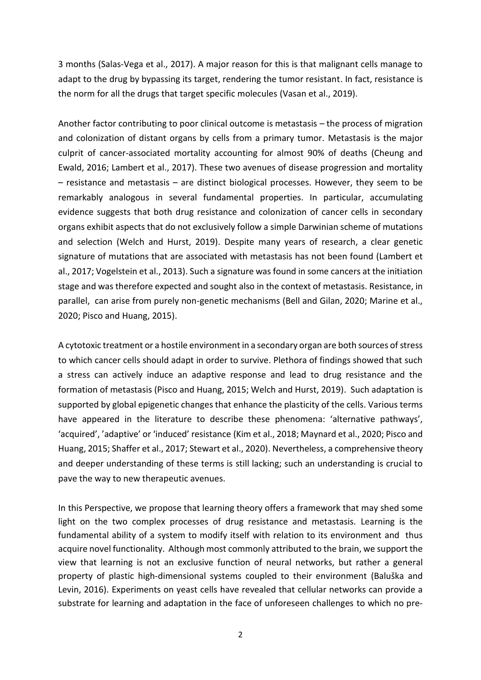3 months (Salas-Vega et al., 2017). A major reason for this is that malignant cells manage to adapt to the drug by bypassing its target, rendering the tumor resistant. In fact, resistance is the norm for all the drugs that target specific molecules (Vasan et al., 2019).

Another factor contributing to poor clinical outcome is metastasis – the process of migration and colonization of distant organs by cells from a primary tumor. Metastasis is the major culprit of cancer-associated mortality accounting for almost 90% of deaths (Cheung and Ewald, 2016; Lambert et al., 2017). These two avenues of disease progression and mortality – resistance and metastasis – are distinct biological processes. However, they seem to be remarkably analogous in several fundamental properties. In particular, accumulating evidence suggests that both drug resistance and colonization of cancer cells in secondary organs exhibit aspects that do not exclusively follow a simple Darwinian scheme of mutations and selection (Welch and Hurst, 2019). Despite many years of research, a clear genetic signature of mutations that are associated with metastasis has not been found (Lambert et al., 2017; Vogelstein et al., 2013). Such a signature was found in some cancers at the initiation stage and was therefore expected and sought also in the context of metastasis. Resistance, in parallel, can arise from purely non-genetic mechanisms (Bell and Gilan, 2020; Marine et al., 2020; Pisco and Huang, 2015).

A cytotoxic treatment or a hostile environment in a secondary organ are both sources of stress to which cancer cells should adapt in order to survive. Plethora of findings showed that such a stress can actively induce an adaptive response and lead to drug resistance and the formation of metastasis (Pisco and Huang, 2015; Welch and Hurst, 2019). Such adaptation is supported by global epigenetic changes that enhance the plasticity of the cells. Various terms have appeared in the literature to describe these phenomena: 'alternative pathways', 'acquired', 'adaptive' or 'induced' resistance (Kim et al., 2018; Maynard et al., 2020; Pisco and Huang, 2015; Shaffer et al., 2017; Stewart et al., 2020). Nevertheless, a comprehensive theory and deeper understanding of these terms is still lacking; such an understanding is crucial to pave the way to new therapeutic avenues.

In this Perspective, we propose that learning theory offers a framework that may shed some light on the two complex processes of drug resistance and metastasis. Learning is the fundamental ability of a system to modify itself with relation to its environment and thus acquire novel functionality. Although most commonly attributed to the brain, we support the view that learning is not an exclusive function of neural networks, but rather a general property of plastic high-dimensional systems coupled to their environment (Baluška and Levin, 2016). Experiments on yeast cells have revealed that cellular networks can provide a substrate for learning and adaptation in the face of unforeseen challenges to which no pre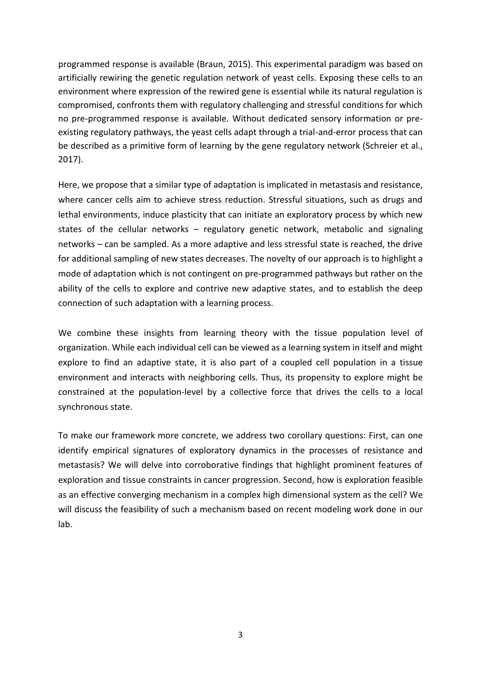programmed response is available (Braun, 2015). This experimental paradigm was based on artificially rewiring the genetic regulation network of yeast cells. Exposing these cells to an environment where expression of the rewired gene is essential while its natural regulation is compromised, confronts them with regulatory challenging and stressful conditions for which no pre-programmed response is available. Without dedicated sensory information or preexisting regulatory pathways, the yeast cells adapt through a trial-and-error process that can be described as a primitive form of learning by the gene regulatory network (Schreier et al., 2017).

Here, we propose that a similar type of adaptation is implicated in metastasis and resistance, where cancer cells aim to achieve stress reduction. Stressful situations, such as drugs and lethal environments, induce plasticity that can initiate an exploratory process by which new states of the cellular networks – regulatory genetic network, metabolic and signaling networks – can be sampled. As a more adaptive and less stressful state is reached, the drive for additional sampling of new states decreases. The novelty of our approach is to highlight a mode of adaptation which is not contingent on pre-programmed pathways but rather on the ability of the cells to explore and contrive new adaptive states, and to establish the deep connection of such adaptation with a learning process.

We combine these insights from learning theory with the tissue population level of organization. While each individual cell can be viewed as a learning system in itself and might explore to find an adaptive state, it is also part of a coupled cell population in a tissue environment and interacts with neighboring cells. Thus, its propensity to explore might be constrained at the population-level by a collective force that drives the cells to a local synchronous state.

To make our framework more concrete, we address two corollary questions: First, can one identify empirical signatures of exploratory dynamics in the processes of resistance and metastasis? We will delve into corroborative findings that highlight prominent features of exploration and tissue constraints in cancer progression. Second, how is exploration feasible as an effective converging mechanism in a complex high dimensional system as the cell? We will discuss the feasibility of such a mechanism based on recent modeling work done in our lab.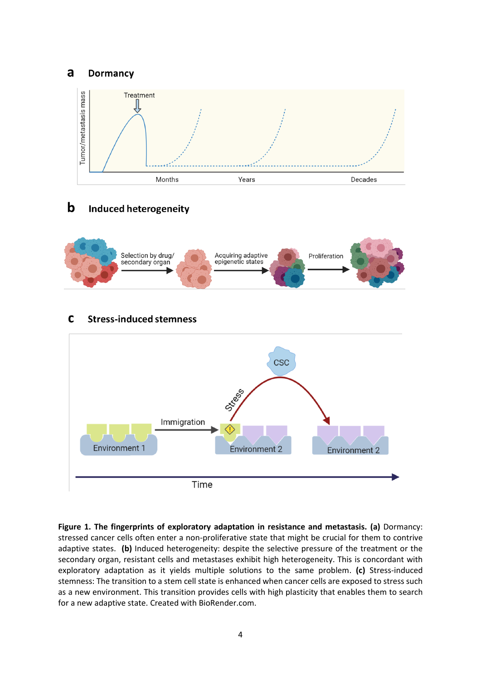#### a **Dormancy**



 $\mathbf b$ **Induced heterogeneity** 



**Figure 1. The fingerprints of exploratory adaptation in resistance and metastasis. (a)** Dormancy: stressed cancer cells often enter a non-proliferative state that might be crucial for them to contrive adaptive states. **(b)** Induced heterogeneity: despite the selective pressure of the treatment or the secondary organ, resistant cells and metastases exhibit high heterogeneity. This is concordant with exploratory adaptation as it yields multiple solutions to the same problem. **(c)** Stress-induced stemness: The transition to a stem cell state is enhanced when cancer cells are exposed to stress such as a new environment. This transition provides cells with high plasticity that enables them to search for a new adaptive state. Created with BioRender.com.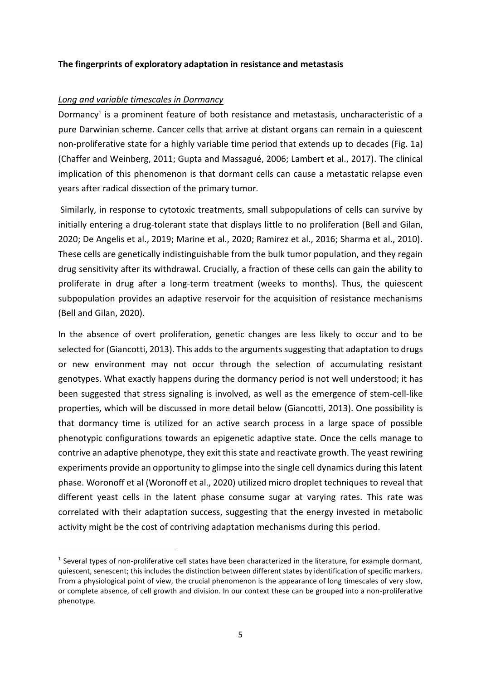# **The fingerprints of exploratory adaptation in resistance and metastasis**

# *Long and variable timescales in Dormancy*

**.** 

Dormancy<sup>1</sup> is a prominent feature of both resistance and metastasis, uncharacteristic of a pure Darwinian scheme. Cancer cells that arrive at distant organs can remain in a quiescent non-proliferative state for a highly variable time period that extends up to decades (Fig. 1a) (Chaffer and Weinberg, 2011; Gupta and Massagué, 2006; Lambert et al., 2017). The clinical implication of this phenomenon is that dormant cells can cause a metastatic relapse even years after radical dissection of the primary tumor.

Similarly, in response to cytotoxic treatments, small subpopulations of cells can survive by initially entering a drug-tolerant state that displays little to no proliferation (Bell and Gilan, 2020; De Angelis et al., 2019; Marine et al., 2020; Ramirez et al., 2016; Sharma et al., 2010). These cells are genetically indistinguishable from the bulk tumor population, and they regain drug sensitivity after its withdrawal. Crucially, a fraction of these cells can gain the ability to proliferate in drug after a long-term treatment (weeks to months). Thus, the quiescent subpopulation provides an adaptive reservoir for the acquisition of resistance mechanisms (Bell and Gilan, 2020).

In the absence of overt proliferation, genetic changes are less likely to occur and to be selected for (Giancotti, 2013). This adds to the arguments suggesting that adaptation to drugs or new environment may not occur through the selection of accumulating resistant genotypes. What exactly happens during the dormancy period is not well understood; it has been suggested that stress signaling is involved, as well as the emergence of stem-cell-like properties, which will be discussed in more detail below (Giancotti, 2013). One possibility is that dormancy time is utilized for an active search process in a large space of possible phenotypic configurations towards an epigenetic adaptive state. Once the cells manage to contrive an adaptive phenotype, they exit this state and reactivate growth. The yeast rewiring experiments provide an opportunity to glimpse into the single cell dynamics during this latent phase. Woronoff et al (Woronoff et al., 2020) utilized micro droplet techniques to reveal that different yeast cells in the latent phase consume sugar at varying rates. This rate was correlated with their adaptation success, suggesting that the energy invested in metabolic activity might be the cost of contriving adaptation mechanisms during this period.

 $<sup>1</sup>$  Several types of non-proliferative cell states have been characterized in the literature, for example dormant,</sup> quiescent, senescent; this includes the distinction between different states by identification of specific markers. From a physiological point of view, the crucial phenomenon is the appearance of long timescales of very slow, or complete absence, of cell growth and division. In our context these can be grouped into a non-proliferative phenotype.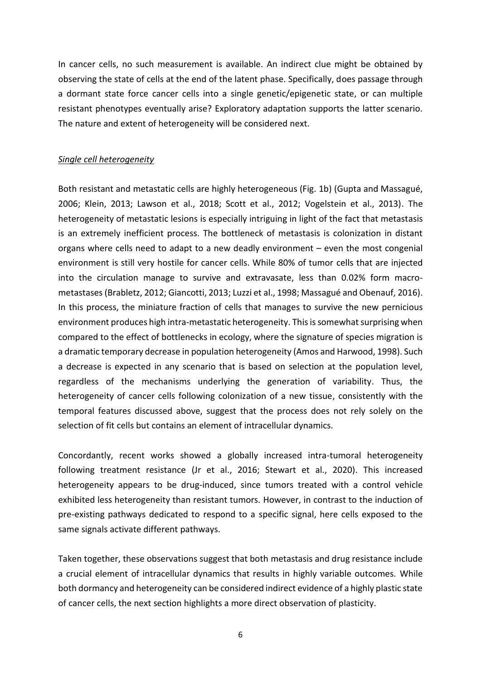In cancer cells, no such measurement is available. An indirect clue might be obtained by observing the state of cells at the end of the latent phase. Specifically, does passage through a dormant state force cancer cells into a single genetic/epigenetic state, or can multiple resistant phenotypes eventually arise? Exploratory adaptation supports the latter scenario. The nature and extent of heterogeneity will be considered next.

# *Single cell heterogeneity*

Both resistant and metastatic cells are highly heterogeneous (Fig. 1b) (Gupta and Massagué, 2006; Klein, 2013; Lawson et al., 2018; Scott et al., 2012; Vogelstein et al., 2013). The heterogeneity of metastatic lesions is especially intriguing in light of the fact that metastasis is an extremely inefficient process. The bottleneck of metastasis is colonization in distant organs where cells need to adapt to a new deadly environment – even the most congenial environment is still very hostile for cancer cells. While 80% of tumor cells that are injected into the circulation manage to survive and extravasate, less than 0.02% form macrometastases (Brabletz, 2012; Giancotti, 2013; Luzzi et al., 1998; Massagué and Obenauf, 2016). In this process, the miniature fraction of cells that manages to survive the new pernicious environment produces high intra-metastatic heterogeneity. This is somewhat surprising when compared to the effect of bottlenecks in ecology, where the signature of species migration is a dramatic temporary decrease in population heterogeneity (Amos and Harwood, 1998). Such a decrease is expected in any scenario that is based on selection at the population level, regardless of the mechanisms underlying the generation of variability. Thus, the heterogeneity of cancer cells following colonization of a new tissue, consistently with the temporal features discussed above, suggest that the process does not rely solely on the selection of fit cells but contains an element of intracellular dynamics.

Concordantly, recent works showed a globally increased intra-tumoral heterogeneity following treatment resistance (Jr et al., 2016; Stewart et al., 2020). This increased heterogeneity appears to be drug-induced, since tumors treated with a control vehicle exhibited less heterogeneity than resistant tumors. However, in contrast to the induction of pre-existing pathways dedicated to respond to a specific signal, here cells exposed to the same signals activate different pathways.

Taken together, these observations suggest that both metastasis and drug resistance include a crucial element of intracellular dynamics that results in highly variable outcomes. While both dormancy and heterogeneity can be considered indirect evidence of a highly plastic state of cancer cells, the next section highlights a more direct observation of plasticity.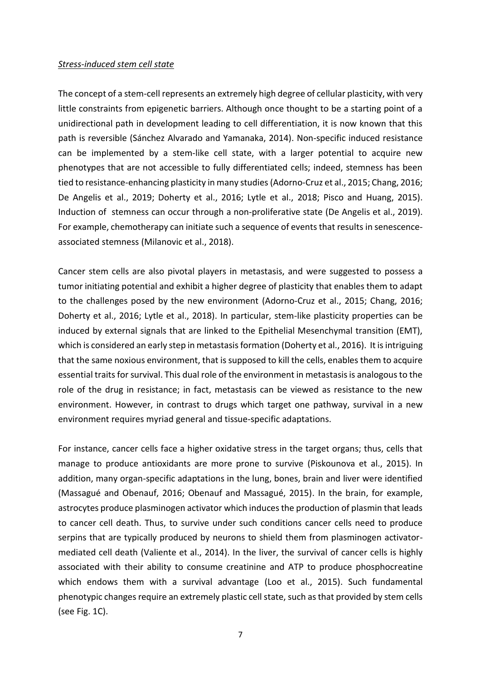# *Stress-induced stem cell state*

The concept of a stem-cell represents an extremely high degree of cellular plasticity, with very little constraints from epigenetic barriers. Although once thought to be a starting point of a unidirectional path in development leading to cell differentiation, it is now known that this path is reversible (Sánchez Alvarado and Yamanaka, 2014). Non-specific induced resistance can be implemented by a stem-like cell state, with a larger potential to acquire new phenotypes that are not accessible to fully differentiated cells; indeed, stemness has been tied to resistance-enhancing plasticity in many studies (Adorno-Cruz et al., 2015; Chang, 2016; De Angelis et al., 2019; Doherty et al., 2016; Lytle et al., 2018; Pisco and Huang, 2015). Induction of stemness can occur through a non-proliferative state (De Angelis et al., 2019). For example, chemotherapy can initiate such a sequence of events that results in senescenceassociated stemness (Milanovic et al., 2018).

Cancer stem cells are also pivotal players in metastasis, and were suggested to possess a tumor initiating potential and exhibit a higher degree of plasticity that enables them to adapt to the challenges posed by the new environment (Adorno-Cruz et al., 2015; Chang, 2016; Doherty et al., 2016; Lytle et al., 2018). In particular, stem-like plasticity properties can be induced by external signals that are linked to the Epithelial Mesenchymal transition (EMT), which is considered an early step in metastasis formation (Doherty et al., 2016). It is intriguing that the same noxious environment, that is supposed to kill the cells, enables them to acquire essential traits for survival. This dual role of the environment in metastasis is analogous to the role of the drug in resistance; in fact, metastasis can be viewed as resistance to the new environment. However, in contrast to drugs which target one pathway, survival in a new environment requires myriad general and tissue-specific adaptations.

For instance, cancer cells face a higher oxidative stress in the target organs; thus, cells that manage to produce antioxidants are more prone to survive (Piskounova et al., 2015). In addition, many organ-specific adaptations in the lung, bones, brain and liver were identified (Massagué and Obenauf, 2016; Obenauf and Massagué, 2015). In the brain, for example, astrocytes produce plasminogen activator which induces the production of plasmin that leads to cancer cell death. Thus, to survive under such conditions cancer cells need to produce serpins that are typically produced by neurons to shield them from plasminogen activatormediated cell death (Valiente et al., 2014). In the liver, the survival of cancer cells is highly associated with their ability to consume creatinine and ATP to produce phosphocreatine which endows them with a survival advantage (Loo et al., 2015). Such fundamental phenotypic changes require an extremely plastic cell state, such as that provided by stem cells (see Fig. 1C).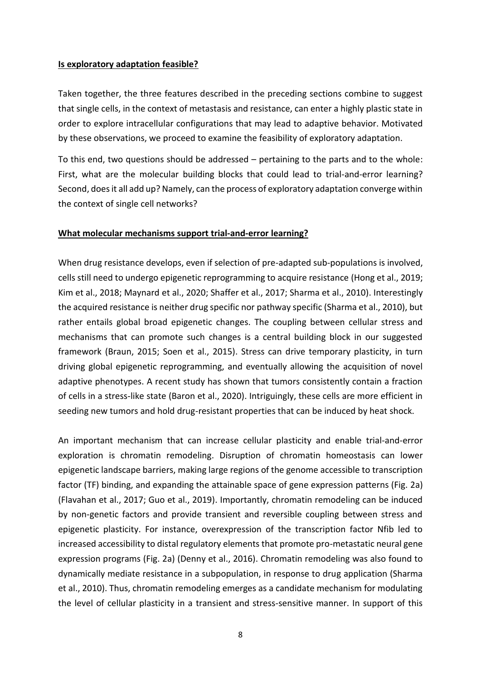# **Is exploratory adaptation feasible?**

Taken together, the three features described in the preceding sections combine to suggest that single cells, in the context of metastasis and resistance, can enter a highly plastic state in order to explore intracellular configurations that may lead to adaptive behavior. Motivated by these observations, we proceed to examine the feasibility of exploratory adaptation.

To this end, two questions should be addressed – pertaining to the parts and to the whole: First, what are the molecular building blocks that could lead to trial-and-error learning? Second, does it all add up? Namely, can the process of exploratory adaptation converge within the context of single cell networks?

# **What molecular mechanisms support trial-and-error learning?**

When drug resistance develops, even if selection of pre-adapted sub-populations is involved, cells still need to undergo epigenetic reprogramming to acquire resistance (Hong et al., 2019; Kim et al., 2018; Maynard et al., 2020; Shaffer et al., 2017; Sharma et al., 2010). Interestingly the acquired resistance is neither drug specific nor pathway specific (Sharma et al., 2010), but rather entails global broad epigenetic changes. The coupling between cellular stress and mechanisms that can promote such changes is a central building block in our suggested framework (Braun, 2015; Soen et al., 2015). Stress can drive temporary plasticity, in turn driving global epigenetic reprogramming, and eventually allowing the acquisition of novel adaptive phenotypes. A recent study has shown that tumors consistently contain a fraction of cells in a stress-like state (Baron et al., 2020). Intriguingly, these cells are more efficient in seeding new tumors and hold drug-resistant properties that can be induced by heat shock.

An important mechanism that can increase cellular plasticity and enable trial-and-error exploration is chromatin remodeling. Disruption of chromatin homeostasis can lower epigenetic landscape barriers, making large regions of the genome accessible to transcription factor (TF) binding, and expanding the attainable space of gene expression patterns (Fig. 2a) (Flavahan et al., 2017; Guo et al., 2019). Importantly, chromatin remodeling can be induced by non-genetic factors and provide transient and reversible coupling between stress and epigenetic plasticity. For instance, overexpression of the transcription factor Nfib led to increased accessibility to distal regulatory elements that promote pro-metastatic neural gene expression programs (Fig. 2a) (Denny et al., 2016). Chromatin remodeling was also found to dynamically mediate resistance in a subpopulation, in response to drug application (Sharma et al., 2010). Thus, chromatin remodeling emerges as a candidate mechanism for modulating the level of cellular plasticity in a transient and stress-sensitive manner. In support of this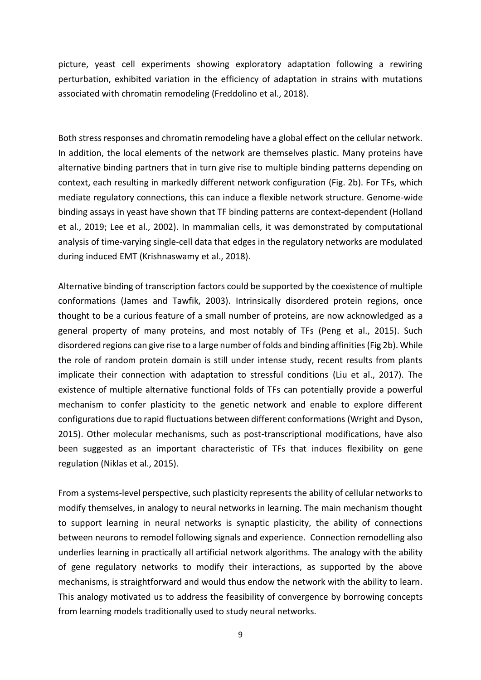picture, yeast cell experiments showing exploratory adaptation following a rewiring perturbation, exhibited variation in the efficiency of adaptation in strains with mutations associated with chromatin remodeling (Freddolino et al., 2018).

Both stress responses and chromatin remodeling have a global effect on the cellular network. In addition, the local elements of the network are themselves plastic. Many proteins have alternative binding partners that in turn give rise to multiple binding patterns depending on context, each resulting in markedly different network configuration (Fig. 2b). For TFs, which mediate regulatory connections, this can induce a flexible network structure. Genome-wide binding assays in yeast have shown that TF binding patterns are context-dependent (Holland et al., 2019; Lee et al., 2002). In mammalian cells, it was demonstrated by computational analysis of time-varying single-cell data that edges in the regulatory networks are modulated during induced EMT (Krishnaswamy et al., 2018).

Alternative binding of transcription factors could be supported by the coexistence of multiple conformations (James and Tawfik, 2003). Intrinsically disordered protein regions, once thought to be a curious feature of a small number of proteins, are now acknowledged as a general property of many proteins, and most notably of TFs (Peng et al., 2015). Such disordered regions can give rise to a large number of folds and binding affinities (Fig 2b). While the role of random protein domain is still under intense study, recent results from plants implicate their connection with adaptation to stressful conditions (Liu et al., 2017). The existence of multiple alternative functional folds of TFs can potentially provide a powerful mechanism to confer plasticity to the genetic network and enable to explore different configurations due to rapid fluctuations between different conformations (Wright and Dyson, 2015). Other molecular mechanisms, such as post-transcriptional modifications, have also been suggested as an important characteristic of TFs that induces flexibility on gene regulation (Niklas et al., 2015).

From a systems-level perspective, such plasticity represents the ability of cellular networks to modify themselves, in analogy to neural networks in learning. The main mechanism thought to support learning in neural networks is synaptic plasticity, the ability of connections between neurons to remodel following signals and experience. Connection remodelling also underlies learning in practically all artificial network algorithms. The analogy with the ability of gene regulatory networks to modify their interactions, as supported by the above mechanisms, is straightforward and would thus endow the network with the ability to learn. This analogy motivated us to address the feasibility of convergence by borrowing concepts from learning models traditionally used to study neural networks.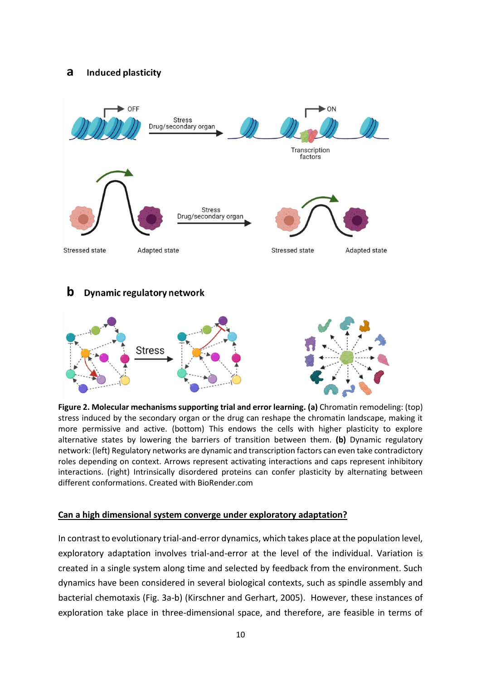#### a **Induced plasticity**



#### b **Dynamic regulatory network**



**Figure 2. Molecular mechanisms supporting trial and error learning. (a)** Chromatin remodeling: (top) stress induced by the secondary organ or the drug can reshape the chromatin landscape, making it more permissive and active. (bottom) This endows the cells with higher plasticity to explore alternative states by lowering the barriers of transition between them. **(b)** Dynamic regulatory network: (left) Regulatory networks are dynamic and transcription factors can even take contradictory roles depending on context. Arrows represent activating interactions and caps represent inhibitory interactions. (right) Intrinsically disordered proteins can confer plasticity by alternating between different conformations. Created with BioRender.com

# **Can a high dimensional system converge under exploratory adaptation?**

In contrast to evolutionary trial-and-error dynamics, which takes place at the population level, exploratory adaptation involves trial-and-error at the level of the individual. Variation is created in a single system along time and selected by feedback from the environment. Such dynamics have been considered in several biological contexts, such as spindle assembly and bacterial chemotaxis (Fig. 3a-b) (Kirschner and Gerhart, 2005). However, these instances of exploration take place in three-dimensional space, and therefore, are feasible in terms of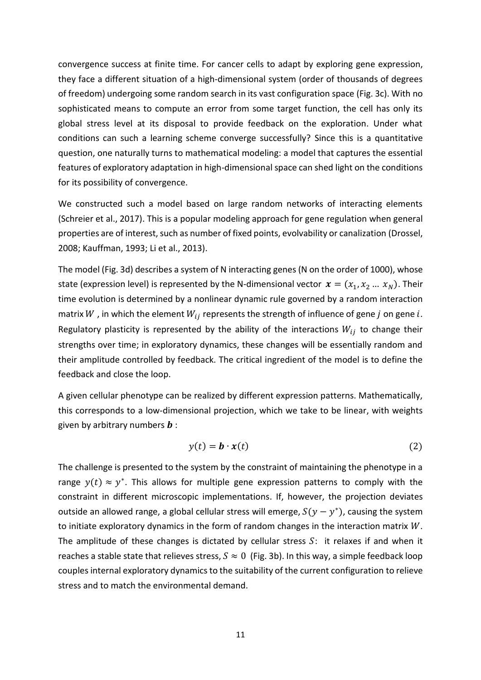convergence success at finite time. For cancer cells to adapt by exploring gene expression, they face a different situation of a high-dimensional system (order of thousands of degrees of freedom) undergoing some random search in its vast configuration space (Fig. 3c). With no sophisticated means to compute an error from some target function, the cell has only its global stress level at its disposal to provide feedback on the exploration. Under what conditions can such a learning scheme converge successfully? Since this is a quantitative question, one naturally turns to mathematical modeling: a model that captures the essential features of exploratory adaptation in high-dimensional space can shed light on the conditions for its possibility of convergence.

We constructed such a model based on large random networks of interacting elements (Schreier et al., 2017). This is a popular modeling approach for gene regulation when general properties are of interest, such as number of fixed points, evolvability or canalization (Drossel, 2008; Kauffman, 1993; Li et al., 2013).

The model (Fig. 3d) describes a system of N interacting genes (N on the order of 1000), whose state (expression level) is represented by the N-dimensional vector  $x = (x_1, x_2, ..., x_N)$ . Their time evolution is determined by a nonlinear dynamic rule governed by a random interaction matrix W, in which the element  $W_{ij}$  represents the strength of influence of gene j on gene i. Regulatory plasticity is represented by the ability of the interactions  $W_{ij}$  to change their strengths over time; in exploratory dynamics, these changes will be essentially random and their amplitude controlled by feedback. The critical ingredient of the model is to define the feedback and close the loop.

A given cellular phenotype can be realized by different expression patterns. Mathematically, this corresponds to a low-dimensional projection, which we take to be linear, with weights given by arbitrary numbers  $\bm{b}$  :

$$
y(t) = \mathbf{b} \cdot \mathbf{x}(t) \tag{2}
$$

The challenge is presented to the system by the constraint of maintaining the phenotype in a range  $y(t) \approx y^*$ . This allows for multiple gene expression patterns to comply with the constraint in different microscopic implementations. If, however, the projection deviates outside an allowed range, a global cellular stress will emerge,  $S(y - y^*)$ , causing the system to initiate exploratory dynamics in the form of random changes in the interaction matrix  $W$ . The amplitude of these changes is dictated by cellular stress  $S$ : it relaxes if and when it reaches a stable state that relieves stress,  $S \approx 0$  (Fig. 3b). In this way, a simple feedback loop couples internal exploratory dynamics to the suitability of the current configuration to relieve stress and to match the environmental demand.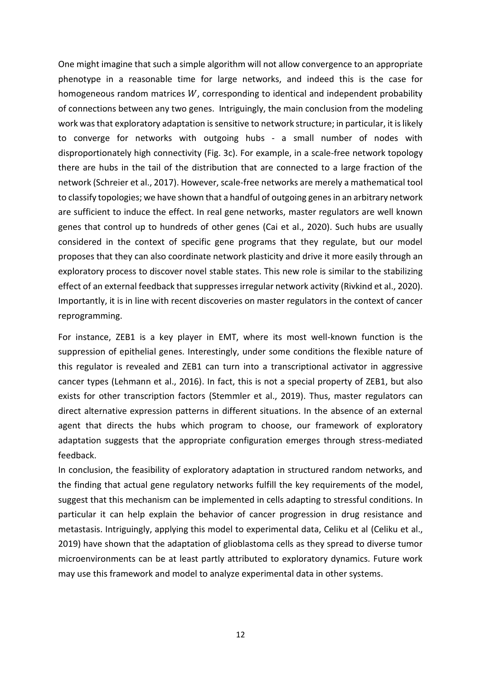One might imagine that such a simple algorithm will not allow convergence to an appropriate phenotype in a reasonable time for large networks, and indeed this is the case for homogeneous random matrices  $W$ , corresponding to identical and independent probability of connections between any two genes. Intriguingly, the main conclusion from the modeling work was that exploratory adaptation is sensitive to network structure; in particular, it is likely to converge for networks with outgoing hubs - a small number of nodes with disproportionately high connectivity (Fig. 3c). For example, in a scale-free network topology there are hubs in the tail of the distribution that are connected to a large fraction of the network (Schreier et al., 2017). However, scale-free networks are merely a mathematical tool to classify topologies; we have shown that a handful of outgoing genes in an arbitrary network are sufficient to induce the effect. In real gene networks, master regulators are well known genes that control up to hundreds of other genes (Cai et al., 2020). Such hubs are usually considered in the context of specific gene programs that they regulate, but our model proposes that they can also coordinate network plasticity and drive it more easily through an exploratory process to discover novel stable states. This new role is similar to the stabilizing effect of an external feedback that suppresses irregular network activity (Rivkind et al., 2020). Importantly, it is in line with recent discoveries on master regulators in the context of cancer reprogramming.

For instance, ZEB1 is a key player in EMT, where its most well-known function is the suppression of epithelial genes. Interestingly, under some conditions the flexible nature of this regulator is revealed and ZEB1 can turn into a transcriptional activator in aggressive cancer types (Lehmann et al., 2016). In fact, this is not a special property of ZEB1, but also exists for other transcription factors (Stemmler et al., 2019). Thus, master regulators can direct alternative expression patterns in different situations. In the absence of an external agent that directs the hubs which program to choose, our framework of exploratory adaptation suggests that the appropriate configuration emerges through stress-mediated feedback.

In conclusion, the feasibility of exploratory adaptation in structured random networks, and the finding that actual gene regulatory networks fulfill the key requirements of the model, suggest that this mechanism can be implemented in cells adapting to stressful conditions. In particular it can help explain the behavior of cancer progression in drug resistance and metastasis. Intriguingly, applying this model to experimental data, Celiku et al (Celiku et al., 2019) have shown that the adaptation of glioblastoma cells as they spread to diverse tumor microenvironments can be at least partly attributed to exploratory dynamics. Future work may use this framework and model to analyze experimental data in other systems.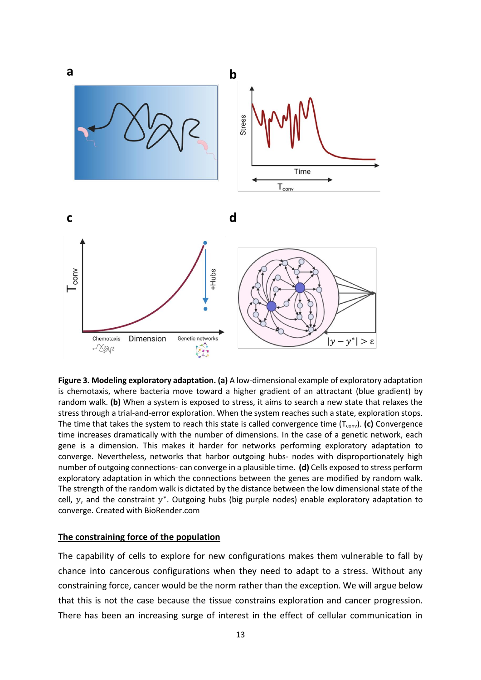

**Figure 3. Modeling exploratory adaptation. (a)** A low-dimensional example of exploratory adaptation is chemotaxis, where bacteria move toward a higher gradient of an attractant (blue gradient) by random walk. **(b)** When a system is exposed to stress, it aims to search a new state that relaxes the stress through a trial-and-error exploration. When the system reaches such a state, exploration stops. The time that takes the system to reach this state is called convergence time (T<sub>conv</sub>). **(c)** Convergence time increases dramatically with the number of dimensions. In the case of a genetic network, each gene is a dimension. This makes it harder for networks performing exploratory adaptation to converge. Nevertheless, networks that harbor outgoing hubs- nodes with disproportionately high number of outgoing connections- can converge in a plausible time. **(d)** Cells exposed to stress perform exploratory adaptation in which the connections between the genes are modified by random walk. The strength of the random walk is dictated by the distance between the low dimensional state of the cell,  $y$ , and the constraint  $y^*$ . Outgoing hubs (big purple nodes) enable exploratory adaptation to converge. Created with BioRender.com

### **The constraining force of the population**

The capability of cells to explore for new configurations makes them vulnerable to fall by chance into cancerous configurations when they need to adapt to a stress. Without any constraining force, cancer would be the norm rather than the exception. We will argue below that this is not the case because the tissue constrains exploration and cancer progression. There has been an increasing surge of interest in the effect of cellular communication in

13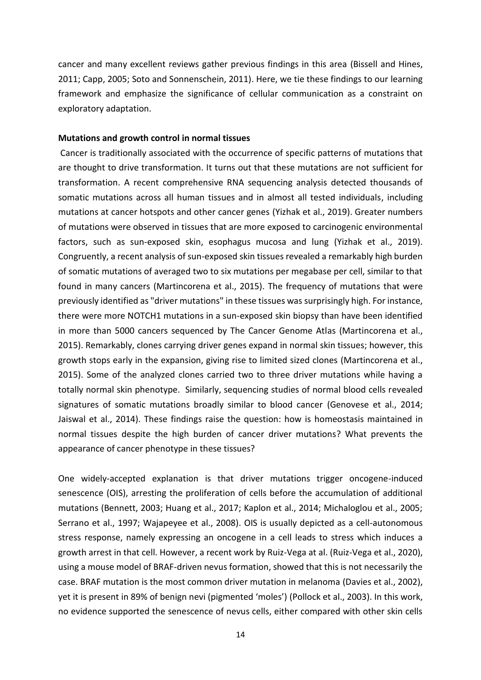cancer and many excellent reviews gather previous findings in this area (Bissell and Hines, 2011; Capp, 2005; Soto and Sonnenschein, 2011). Here, we tie these findings to our learning framework and emphasize the significance of cellular communication as a constraint on exploratory adaptation.

### **Mutations and growth control in normal tissues**

Cancer is traditionally associated with the occurrence of specific patterns of mutations that are thought to drive transformation. It turns out that these mutations are not sufficient for transformation. A recent comprehensive RNA sequencing analysis detected thousands of somatic mutations across all human tissues and in almost all tested individuals, including mutations at cancer hotspots and other cancer genes (Yizhak et al., 2019). Greater numbers of mutations were observed in tissues that are more exposed to carcinogenic environmental factors, such as sun-exposed skin, esophagus mucosa and lung (Yizhak et al., 2019). Congruently, a recent analysis of sun-exposed skin tissues revealed a remarkably high burden of somatic mutations of averaged two to six mutations per megabase per cell, similar to that found in many cancers (Martincorena et al., 2015). The frequency of mutations that were previously identified as "driver mutations" in these tissues was surprisingly high. For instance, there were more NOTCH1 mutations in a sun-exposed skin biopsy than have been identified in more than 5000 cancers sequenced by The Cancer Genome Atlas (Martincorena et al., 2015). Remarkably, clones carrying driver genes expand in normal skin tissues; however, this growth stops early in the expansion, giving rise to limited sized clones (Martincorena et al., 2015). Some of the analyzed clones carried two to three driver mutations while having a totally normal skin phenotype. Similarly, sequencing studies of normal blood cells revealed signatures of somatic mutations broadly similar to blood cancer (Genovese et al., 2014; Jaiswal et al., 2014). These findings raise the question: how is homeostasis maintained in normal tissues despite the high burden of cancer driver mutations? What prevents the appearance of cancer phenotype in these tissues?

One widely-accepted explanation is that driver mutations trigger oncogene-induced senescence (OIS), arresting the proliferation of cells before the accumulation of additional mutations (Bennett, 2003; Huang et al., 2017; Kaplon et al., 2014; Michaloglou et al., 2005; Serrano et al., 1997; Wajapeyee et al., 2008). OIS is usually depicted as a cell-autonomous stress response, namely expressing an oncogene in a cell leads to stress which induces a growth arrest in that cell. However, a recent work by Ruiz-Vega at al. (Ruiz-Vega et al., 2020), using a mouse model of BRAF-driven nevus formation, showed that this is not necessarily the case. BRAF mutation is the most common driver mutation in melanoma (Davies et al., 2002), yet it is present in 89% of benign nevi (pigmented 'moles') (Pollock et al., 2003). In this work, no evidence supported the senescence of nevus cells, either compared with other skin cells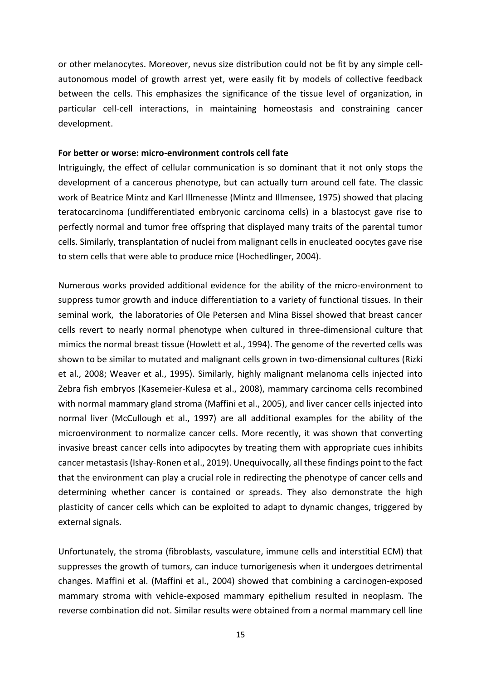or other melanocytes. Moreover, nevus size distribution could not be fit by any simple cellautonomous model of growth arrest yet, were easily fit by models of collective feedback between the cells. This emphasizes the significance of the tissue level of organization, in particular cell-cell interactions, in maintaining homeostasis and constraining cancer development.

### **For better or worse: micro-environment controls cell fate**

Intriguingly, the effect of cellular communication is so dominant that it not only stops the development of a cancerous phenotype, but can actually turn around cell fate. The classic work of Beatrice Mintz and Karl Illmenesse (Mintz and Illmensee, 1975) showed that placing teratocarcinoma (undifferentiated embryonic carcinoma cells) in a blastocyst gave rise to perfectly normal and tumor free offspring that displayed many traits of the parental tumor cells. Similarly, transplantation of nuclei from malignant cells in enucleated oocytes gave rise to stem cells that were able to produce mice (Hochedlinger, 2004).

Numerous works provided additional evidence for the ability of the micro-environment to suppress tumor growth and induce differentiation to a variety of functional tissues. In their seminal work, the laboratories of Ole Petersen and Mina Bissel showed that breast cancer cells revert to nearly normal phenotype when cultured in three-dimensional culture that mimics the normal breast tissue (Howlett et al., 1994). The genome of the reverted cells was shown to be similar to mutated and malignant cells grown in two-dimensional cultures (Rizki et al., 2008; Weaver et al., 1995). Similarly, highly malignant melanoma cells injected into Zebra fish embryos (Kasemeier-Kulesa et al., 2008), mammary carcinoma cells recombined with normal mammary gland stroma (Maffini et al., 2005), and liver cancer cells injected into normal liver (McCullough et al., 1997) are all additional examples for the ability of the microenvironment to normalize cancer cells. More recently, it was shown that converting invasive breast cancer cells into adipocytes by treating them with appropriate cues inhibits cancer metastasis (Ishay-Ronen et al., 2019). Unequivocally, all these findings point to the fact that the environment can play a crucial role in redirecting the phenotype of cancer cells and determining whether cancer is contained or spreads. They also demonstrate the high plasticity of cancer cells which can be exploited to adapt to dynamic changes, triggered by external signals.

Unfortunately, the stroma (fibroblasts, vasculature, immune cells and interstitial ECM) that suppresses the growth of tumors, can induce tumorigenesis when it undergoes detrimental changes. Maffini et al. (Maffini et al., 2004) showed that combining a carcinogen-exposed mammary stroma with vehicle-exposed mammary epithelium resulted in neoplasm. The reverse combination did not. Similar results were obtained from a normal mammary cell line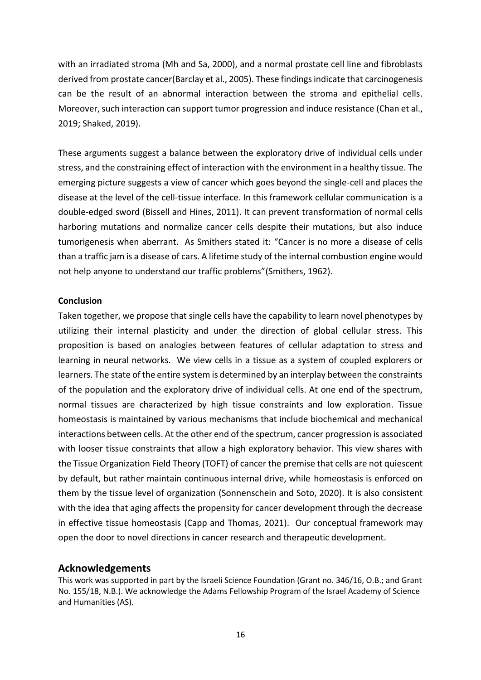with an irradiated stroma (Mh and Sa, 2000), and a normal prostate cell line and fibroblasts derived from prostate cancer(Barclay et al., 2005). These findings indicate that carcinogenesis can be the result of an abnormal interaction between the stroma and epithelial cells. Moreover, such interaction can support tumor progression and induce resistance (Chan et al., 2019; Shaked, 2019).

These arguments suggest a balance between the exploratory drive of individual cells under stress, and the constraining effect of interaction with the environment in a healthy tissue. The emerging picture suggests a view of cancer which goes beyond the single-cell and places the disease at the level of the cell-tissue interface. In this framework cellular communication is a double-edged sword (Bissell and Hines, 2011). It can prevent transformation of normal cells harboring mutations and normalize cancer cells despite their mutations, but also induce tumorigenesis when aberrant. As Smithers stated it: "Cancer is no more a disease of cells than a traffic jam is a disease of cars. A lifetime study of the internal combustion engine would not help anyone to understand our traffic problems"(Smithers, 1962).

### **Conclusion**

Taken together, we propose that single cells have the capability to learn novel phenotypes by utilizing their internal plasticity and under the direction of global cellular stress. This proposition is based on analogies between features of cellular adaptation to stress and learning in neural networks. We view cells in a tissue as a system of coupled explorers or learners. The state of the entire system is determined by an interplay between the constraints of the population and the exploratory drive of individual cells. At one end of the spectrum, normal tissues are characterized by high tissue constraints and low exploration. Tissue homeostasis is maintained by various mechanisms that include biochemical and mechanical interactions between cells. At the other end of the spectrum, cancer progression is associated with looser tissue constraints that allow a high exploratory behavior. This view shares with the Tissue Organization Field Theory (TOFT) of cancer the premise that cells are not quiescent by default, but rather maintain continuous internal drive, while homeostasis is enforced on them by the tissue level of organization (Sonnenschein and Soto, 2020). It is also consistent with the idea that aging affects the propensity for cancer development through the decrease in effective tissue homeostasis (Capp and Thomas, 2021). Our conceptual framework may open the door to novel directions in cancer research and therapeutic development.

### **Acknowledgements**

This work was supported in part by the Israeli Science Foundation (Grant no. 346/16, O.B.; and Grant No. 155/18, N.B.). We acknowledge the Adams Fellowship Program of the Israel Academy of Science and Humanities (AS).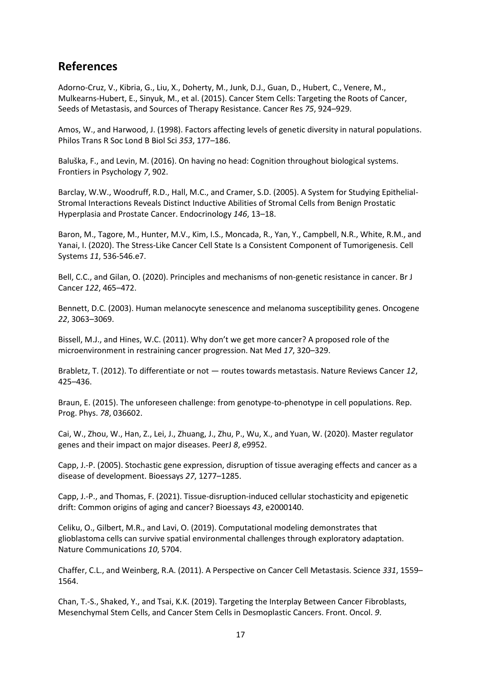# **References**

Adorno-Cruz, V., Kibria, G., Liu, X., Doherty, M., Junk, D.J., Guan, D., Hubert, C., Venere, M., Mulkearns-Hubert, E., Sinyuk, M., et al. (2015). Cancer Stem Cells: Targeting the Roots of Cancer, Seeds of Metastasis, and Sources of Therapy Resistance. Cancer Res *75*, 924–929.

Amos, W., and Harwood, J. (1998). Factors affecting levels of genetic diversity in natural populations. Philos Trans R Soc Lond B Biol Sci *353*, 177–186.

Baluška, F., and Levin, M. (2016). On having no head: Cognition throughout biological systems. Frontiers in Psychology *7*, 902.

Barclay, W.W., Woodruff, R.D., Hall, M.C., and Cramer, S.D. (2005). A System for Studying Epithelial-Stromal Interactions Reveals Distinct Inductive Abilities of Stromal Cells from Benign Prostatic Hyperplasia and Prostate Cancer. Endocrinology *146*, 13–18.

Baron, M., Tagore, M., Hunter, M.V., Kim, I.S., Moncada, R., Yan, Y., Campbell, N.R., White, R.M., and Yanai, I. (2020). The Stress-Like Cancer Cell State Is a Consistent Component of Tumorigenesis. Cell Systems *11*, 536-546.e7.

Bell, C.C., and Gilan, O. (2020). Principles and mechanisms of non-genetic resistance in cancer. Br J Cancer *122*, 465–472.

Bennett, D.C. (2003). Human melanocyte senescence and melanoma susceptibility genes. Oncogene *22*, 3063–3069.

Bissell, M.J., and Hines, W.C. (2011). Why don't we get more cancer? A proposed role of the microenvironment in restraining cancer progression. Nat Med *17*, 320–329.

Brabletz, T. (2012). To differentiate or not — routes towards metastasis. Nature Reviews Cancer *12*, 425–436.

Braun, E. (2015). The unforeseen challenge: from genotype-to-phenotype in cell populations. Rep. Prog. Phys. *78*, 036602.

Cai, W., Zhou, W., Han, Z., Lei, J., Zhuang, J., Zhu, P., Wu, X., and Yuan, W. (2020). Master regulator genes and their impact on major diseases. PeerJ *8*, e9952.

Capp, J.-P. (2005). Stochastic gene expression, disruption of tissue averaging effects and cancer as a disease of development. Bioessays *27*, 1277–1285.

Capp, J.-P., and Thomas, F. (2021). Tissue-disruption-induced cellular stochasticity and epigenetic drift: Common origins of aging and cancer? Bioessays *43*, e2000140.

Celiku, O., Gilbert, M.R., and Lavi, O. (2019). Computational modeling demonstrates that glioblastoma cells can survive spatial environmental challenges through exploratory adaptation. Nature Communications *10*, 5704.

Chaffer, C.L., and Weinberg, R.A. (2011). A Perspective on Cancer Cell Metastasis. Science *331*, 1559– 1564.

Chan, T.-S., Shaked, Y., and Tsai, K.K. (2019). Targeting the Interplay Between Cancer Fibroblasts, Mesenchymal Stem Cells, and Cancer Stem Cells in Desmoplastic Cancers. Front. Oncol. *9*.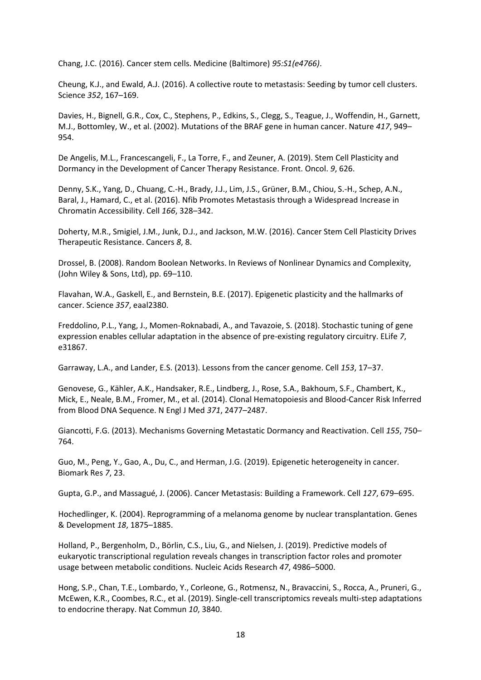Chang, J.C. (2016). Cancer stem cells. Medicine (Baltimore) *95:S1(e4766)*.

Cheung, K.J., and Ewald, A.J. (2016). A collective route to metastasis: Seeding by tumor cell clusters. Science *352*, 167–169.

Davies, H., Bignell, G.R., Cox, C., Stephens, P., Edkins, S., Clegg, S., Teague, J., Woffendin, H., Garnett, M.J., Bottomley, W., et al. (2002). Mutations of the BRAF gene in human cancer. Nature *417*, 949– 954.

De Angelis, M.L., Francescangeli, F., La Torre, F., and Zeuner, A. (2019). Stem Cell Plasticity and Dormancy in the Development of Cancer Therapy Resistance. Front. Oncol. *9*, 626.

Denny, S.K., Yang, D., Chuang, C.-H., Brady, J.J., Lim, J.S., Grüner, B.M., Chiou, S.-H., Schep, A.N., Baral, J., Hamard, C., et al. (2016). Nfib Promotes Metastasis through a Widespread Increase in Chromatin Accessibility. Cell *166*, 328–342.

Doherty, M.R., Smigiel, J.M., Junk, D.J., and Jackson, M.W. (2016). Cancer Stem Cell Plasticity Drives Therapeutic Resistance. Cancers *8*, 8.

Drossel, B. (2008). Random Boolean Networks. In Reviews of Nonlinear Dynamics and Complexity, (John Wiley & Sons, Ltd), pp. 69–110.

Flavahan, W.A., Gaskell, E., and Bernstein, B.E. (2017). Epigenetic plasticity and the hallmarks of cancer. Science *357*, eaal2380.

Freddolino, P.L., Yang, J., Momen-Roknabadi, A., and Tavazoie, S. (2018). Stochastic tuning of gene expression enables cellular adaptation in the absence of pre-existing regulatory circuitry. ELife *7*, e31867.

Garraway, L.A., and Lander, E.S. (2013). Lessons from the cancer genome. Cell *153*, 17–37.

Genovese, G., Kähler, A.K., Handsaker, R.E., Lindberg, J., Rose, S.A., Bakhoum, S.F., Chambert, K., Mick, E., Neale, B.M., Fromer, M., et al. (2014). Clonal Hematopoiesis and Blood-Cancer Risk Inferred from Blood DNA Sequence. N Engl J Med *371*, 2477–2487.

Giancotti, F.G. (2013). Mechanisms Governing Metastatic Dormancy and Reactivation. Cell *155*, 750– 764.

Guo, M., Peng, Y., Gao, A., Du, C., and Herman, J.G. (2019). Epigenetic heterogeneity in cancer. Biomark Res *7*, 23.

Gupta, G.P., and Massagué, J. (2006). Cancer Metastasis: Building a Framework. Cell *127*, 679–695.

Hochedlinger, K. (2004). Reprogramming of a melanoma genome by nuclear transplantation. Genes & Development *18*, 1875–1885.

Holland, P., Bergenholm, D., Börlin, C.S., Liu, G., and Nielsen, J. (2019). Predictive models of eukaryotic transcriptional regulation reveals changes in transcription factor roles and promoter usage between metabolic conditions. Nucleic Acids Research *47*, 4986–5000.

Hong, S.P., Chan, T.E., Lombardo, Y., Corleone, G., Rotmensz, N., Bravaccini, S., Rocca, A., Pruneri, G., McEwen, K.R., Coombes, R.C., et al. (2019). Single-cell transcriptomics reveals multi-step adaptations to endocrine therapy. Nat Commun *10*, 3840.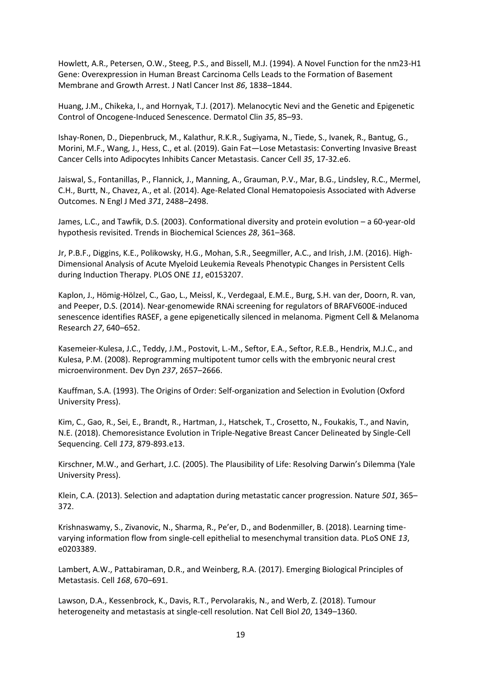Howlett, A.R., Petersen, O.W., Steeg, P.S., and Bissell, M.J. (1994). A Novel Function for the nm23-H1 Gene: Overexpression in Human Breast Carcinoma Cells Leads to the Formation of Basement Membrane and Growth Arrest. J Natl Cancer Inst *86*, 1838–1844.

Huang, J.M., Chikeka, I., and Hornyak, T.J. (2017). Melanocytic Nevi and the Genetic and Epigenetic Control of Oncogene-Induced Senescence. Dermatol Clin *35*, 85–93.

Ishay-Ronen, D., Diepenbruck, M., Kalathur, R.K.R., Sugiyama, N., Tiede, S., Ivanek, R., Bantug, G., Morini, M.F., Wang, J., Hess, C., et al. (2019). Gain Fat—Lose Metastasis: Converting Invasive Breast Cancer Cells into Adipocytes Inhibits Cancer Metastasis. Cancer Cell *35*, 17-32.e6.

Jaiswal, S., Fontanillas, P., Flannick, J., Manning, A., Grauman, P.V., Mar, B.G., Lindsley, R.C., Mermel, C.H., Burtt, N., Chavez, A., et al. (2014). Age-Related Clonal Hematopoiesis Associated with Adverse Outcomes. N Engl J Med *371*, 2488–2498.

James, L.C., and Tawfik, D.S. (2003). Conformational diversity and protein evolution – a 60-year-old hypothesis revisited. Trends in Biochemical Sciences *28*, 361–368.

Jr, P.B.F., Diggins, K.E., Polikowsky, H.G., Mohan, S.R., Seegmiller, A.C., and Irish, J.M. (2016). High-Dimensional Analysis of Acute Myeloid Leukemia Reveals Phenotypic Changes in Persistent Cells during Induction Therapy. PLOS ONE *11*, e0153207.

Kaplon, J., Hömig‐Hölzel, C., Gao, L., Meissl, K., Verdegaal, E.M.E., Burg, S.H. van der, Doorn, R. van, and Peeper, D.S. (2014). Near-genomewide RNAi screening for regulators of BRAFV600E-induced senescence identifies RASEF, a gene epigenetically silenced in melanoma. Pigment Cell & Melanoma Research *27*, 640–652.

Kasemeier-Kulesa, J.C., Teddy, J.M., Postovit, L.-M., Seftor, E.A., Seftor, R.E.B., Hendrix, M.J.C., and Kulesa, P.M. (2008). Reprogramming multipotent tumor cells with the embryonic neural crest microenvironment. Dev Dyn *237*, 2657–2666.

Kauffman, S.A. (1993). The Origins of Order: Self-organization and Selection in Evolution (Oxford University Press).

Kim, C., Gao, R., Sei, E., Brandt, R., Hartman, J., Hatschek, T., Crosetto, N., Foukakis, T., and Navin, N.E. (2018). Chemoresistance Evolution in Triple-Negative Breast Cancer Delineated by Single-Cell Sequencing. Cell *173*, 879-893.e13.

Kirschner, M.W., and Gerhart, J.C. (2005). The Plausibility of Life: Resolving Darwin's Dilemma (Yale University Press).

Klein, C.A. (2013). Selection and adaptation during metastatic cancer progression. Nature *501*, 365– 372.

Krishnaswamy, S., Zivanovic, N., Sharma, R., Pe'er, D., and Bodenmiller, B. (2018). Learning timevarying information flow from single-cell epithelial to mesenchymal transition data. PLoS ONE *13*, e0203389.

Lambert, A.W., Pattabiraman, D.R., and Weinberg, R.A. (2017). Emerging Biological Principles of Metastasis. Cell *168*, 670–691.

Lawson, D.A., Kessenbrock, K., Davis, R.T., Pervolarakis, N., and Werb, Z. (2018). Tumour heterogeneity and metastasis at single-cell resolution. Nat Cell Biol *20*, 1349–1360.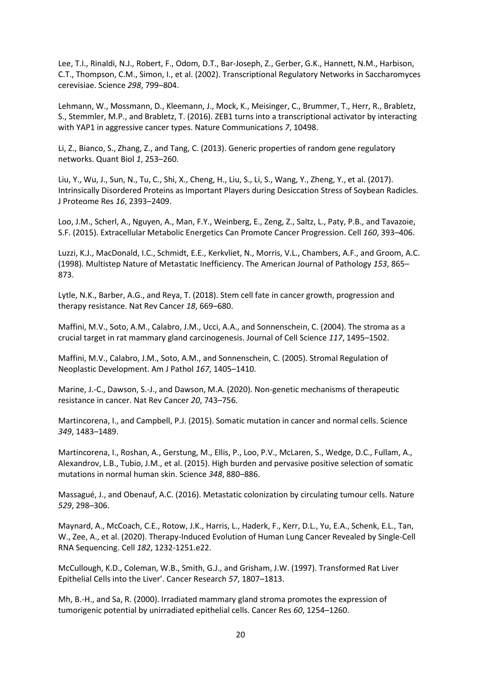Lee, T.I., Rinaldi, N.J., Robert, F., Odom, D.T., Bar-Joseph, Z., Gerber, G.K., Hannett, N.M., Harbison, C.T., Thompson, C.M., Simon, I., et al. (2002). Transcriptional Regulatory Networks in Saccharomyces cerevisiae. Science *298*, 799–804.

Lehmann, W., Mossmann, D., Kleemann, J., Mock, K., Meisinger, C., Brummer, T., Herr, R., Brabletz, S., Stemmler, M.P., and Brabletz, T. (2016). ZEB1 turns into a transcriptional activator by interacting with YAP1 in aggressive cancer types. Nature Communications *7*, 10498.

Li, Z., Bianco, S., Zhang, Z., and Tang, C. (2013). Generic properties of random gene regulatory networks. Quant Biol *1*, 253–260.

Liu, Y., Wu, J., Sun, N., Tu, C., Shi, X., Cheng, H., Liu, S., Li, S., Wang, Y., Zheng, Y., et al. (2017). Intrinsically Disordered Proteins as Important Players during Desiccation Stress of Soybean Radicles. J Proteome Res *16*, 2393–2409.

Loo, J.M., Scherl, A., Nguyen, A., Man, F.Y., Weinberg, E., Zeng, Z., Saltz, L., Paty, P.B., and Tavazoie, S.F. (2015). Extracellular Metabolic Energetics Can Promote Cancer Progression. Cell *160*, 393–406.

Luzzi, K.J., MacDonald, I.C., Schmidt, E.E., Kerkvliet, N., Morris, V.L., Chambers, A.F., and Groom, A.C. (1998). Multistep Nature of Metastatic Inefficiency. The American Journal of Pathology *153*, 865– 873.

Lytle, N.K., Barber, A.G., and Reya, T. (2018). Stem cell fate in cancer growth, progression and therapy resistance. Nat Rev Cancer *18*, 669–680.

Maffini, M.V., Soto, A.M., Calabro, J.M., Ucci, A.A., and Sonnenschein, C. (2004). The stroma as a crucial target in rat mammary gland carcinogenesis. Journal of Cell Science *117*, 1495–1502.

Maffini, M.V., Calabro, J.M., Soto, A.M., and Sonnenschein, C. (2005). Stromal Regulation of Neoplastic Development. Am J Pathol *167*, 1405–1410.

Marine, J.-C., Dawson, S.-J., and Dawson, M.A. (2020). Non-genetic mechanisms of therapeutic resistance in cancer. Nat Rev Cancer *20*, 743–756.

Martincorena, I., and Campbell, P.J. (2015). Somatic mutation in cancer and normal cells. Science *349*, 1483–1489.

Martincorena, I., Roshan, A., Gerstung, M., Ellis, P., Loo, P.V., McLaren, S., Wedge, D.C., Fullam, A., Alexandrov, L.B., Tubio, J.M., et al. (2015). High burden and pervasive positive selection of somatic mutations in normal human skin. Science *348*, 880–886.

Massagué, J., and Obenauf, A.C. (2016). Metastatic colonization by circulating tumour cells. Nature *529*, 298–306.

Maynard, A., McCoach, C.E., Rotow, J.K., Harris, L., Haderk, F., Kerr, D.L., Yu, E.A., Schenk, E.L., Tan, W., Zee, A., et al. (2020). Therapy-Induced Evolution of Human Lung Cancer Revealed by Single-Cell RNA Sequencing. Cell *182*, 1232-1251.e22.

McCullough, K.D., Coleman, W.B., Smith, G.J., and Grisham, J.W. (1997). Transformed Rat Liver Epithelial Cells into the Liver'. Cancer Research *57*, 1807–1813.

Mh, B.-H., and Sa, R. (2000). Irradiated mammary gland stroma promotes the expression of tumorigenic potential by unirradiated epithelial cells. Cancer Res *60*, 1254–1260.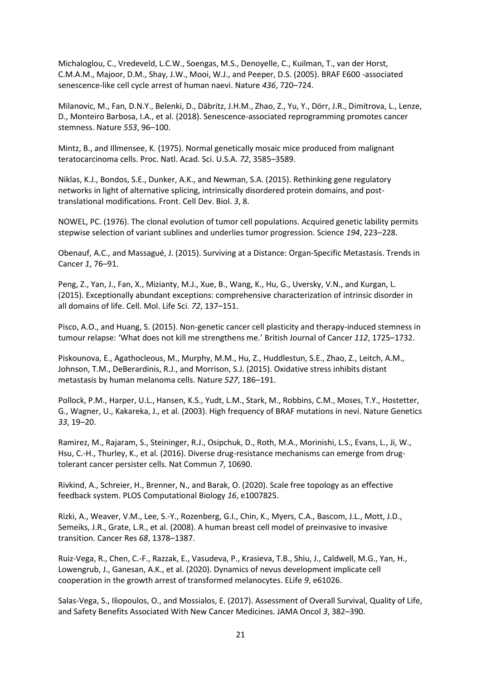Michaloglou, C., Vredeveld, L.C.W., Soengas, M.S., Denoyelle, C., Kuilman, T., van der Horst, C.M.A.M., Majoor, D.M., Shay, J.W., Mooi, W.J., and Peeper, D.S. (2005). BRAF E600 -associated senescence-like cell cycle arrest of human naevi. Nature *436*, 720–724.

Milanovic, M., Fan, D.N.Y., Belenki, D., Däbritz, J.H.M., Zhao, Z., Yu, Y., Dörr, J.R., Dimitrova, L., Lenze, D., Monteiro Barbosa, I.A., et al. (2018). Senescence-associated reprogramming promotes cancer stemness. Nature *553*, 96–100.

Mintz, B., and Illmensee, K. (1975). Normal genetically mosaic mice produced from malignant teratocarcinoma cells. Proc. Natl. Acad. Sci. U.S.A. *72*, 3585–3589.

Niklas, K.J., Bondos, S.E., Dunker, A.K., and Newman, S.A. (2015). Rethinking gene regulatory networks in light of alternative splicing, intrinsically disordered protein domains, and posttranslational modifications. Front. Cell Dev. Biol. *3*, 8.

NOWEL, PC. (1976). The clonal evolution of tumor cell populations. Acquired genetic lability permits stepwise selection of variant sublines and underlies tumor progression. Science *194*, 223–228.

Obenauf, A.C., and Massagué, J. (2015). Surviving at a Distance: Organ-Specific Metastasis. Trends in Cancer *1*, 76–91.

Peng, Z., Yan, J., Fan, X., Mizianty, M.J., Xue, B., Wang, K., Hu, G., Uversky, V.N., and Kurgan, L. (2015). Exceptionally abundant exceptions: comprehensive characterization of intrinsic disorder in all domains of life. Cell. Mol. Life Sci. *72*, 137–151.

Pisco, A.O., and Huang, S. (2015). Non-genetic cancer cell plasticity and therapy-induced stemness in tumour relapse: 'What does not kill me strengthens me.' British Journal of Cancer *112*, 1725–1732.

Piskounova, E., Agathocleous, M., Murphy, M.M., Hu, Z., Huddlestun, S.E., Zhao, Z., Leitch, A.M., Johnson, T.M., DeBerardinis, R.J., and Morrison, S.J. (2015). Oxidative stress inhibits distant metastasis by human melanoma cells. Nature *527*, 186–191.

Pollock, P.M., Harper, U.L., Hansen, K.S., Yudt, L.M., Stark, M., Robbins, C.M., Moses, T.Y., Hostetter, G., Wagner, U., Kakareka, J., et al. (2003). High frequency of BRAF mutations in nevi. Nature Genetics *33*, 19–20.

Ramirez, M., Rajaram, S., Steininger, R.J., Osipchuk, D., Roth, M.A., Morinishi, L.S., Evans, L., Ji, W., Hsu, C.-H., Thurley, K., et al. (2016). Diverse drug-resistance mechanisms can emerge from drugtolerant cancer persister cells. Nat Commun *7*, 10690.

Rivkind, A., Schreier, H., Brenner, N., and Barak, O. (2020). Scale free topology as an effective feedback system. PLOS Computational Biology *16*, e1007825.

Rizki, A., Weaver, V.M., Lee, S.-Y., Rozenberg, G.I., Chin, K., Myers, C.A., Bascom, J.L., Mott, J.D., Semeiks, J.R., Grate, L.R., et al. (2008). A human breast cell model of preinvasive to invasive transition. Cancer Res *68*, 1378–1387.

Ruiz-Vega, R., Chen, C.-F., Razzak, E., Vasudeva, P., Krasieva, T.B., Shiu, J., Caldwell, M.G., Yan, H., Lowengrub, J., Ganesan, A.K., et al. (2020). Dynamics of nevus development implicate cell cooperation in the growth arrest of transformed melanocytes. ELife *9*, e61026.

Salas-Vega, S., Iliopoulos, O., and Mossialos, E. (2017). Assessment of Overall Survival, Quality of Life, and Safety Benefits Associated With New Cancer Medicines. JAMA Oncol *3*, 382–390.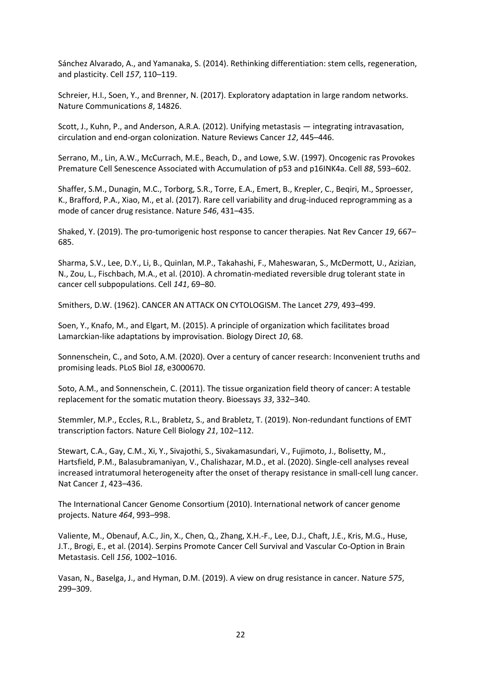Sánchez Alvarado, A., and Yamanaka, S. (2014). Rethinking differentiation: stem cells, regeneration, and plasticity. Cell *157*, 110–119.

Schreier, H.I., Soen, Y., and Brenner, N. (2017). Exploratory adaptation in large random networks. Nature Communications *8*, 14826.

Scott, J., Kuhn, P., and Anderson, A.R.A. (2012). Unifying metastasis — integrating intravasation, circulation and end-organ colonization. Nature Reviews Cancer *12*, 445–446.

Serrano, M., Lin, A.W., McCurrach, M.E., Beach, D., and Lowe, S.W. (1997). Oncogenic ras Provokes Premature Cell Senescence Associated with Accumulation of p53 and p16INK4a. Cell *88*, 593–602.

Shaffer, S.M., Dunagin, M.C., Torborg, S.R., Torre, E.A., Emert, B., Krepler, C., Beqiri, M., Sproesser, K., Brafford, P.A., Xiao, M., et al. (2017). Rare cell variability and drug-induced reprogramming as a mode of cancer drug resistance. Nature *546*, 431–435.

Shaked, Y. (2019). The pro-tumorigenic host response to cancer therapies. Nat Rev Cancer *19*, 667– 685.

Sharma, S.V., Lee, D.Y., Li, B., Quinlan, M.P., Takahashi, F., Maheswaran, S., McDermott, U., Azizian, N., Zou, L., Fischbach, M.A., et al. (2010). A chromatin-mediated reversible drug tolerant state in cancer cell subpopulations. Cell *141*, 69–80.

Smithers, D.W. (1962). CANCER AN ATTACK ON CYTOLOGISM. The Lancet *279*, 493–499.

Soen, Y., Knafo, M., and Elgart, M. (2015). A principle of organization which facilitates broad Lamarckian-like adaptations by improvisation. Biology Direct *10*, 68.

Sonnenschein, C., and Soto, A.M. (2020). Over a century of cancer research: Inconvenient truths and promising leads. PLoS Biol *18*, e3000670.

Soto, A.M., and Sonnenschein, C. (2011). The tissue organization field theory of cancer: A testable replacement for the somatic mutation theory. Bioessays *33*, 332–340.

Stemmler, M.P., Eccles, R.L., Brabletz, S., and Brabletz, T. (2019). Non-redundant functions of EMT transcription factors. Nature Cell Biology *21*, 102–112.

Stewart, C.A., Gay, C.M., Xi, Y., Sivajothi, S., Sivakamasundari, V., Fujimoto, J., Bolisetty, M., Hartsfield, P.M., Balasubramaniyan, V., Chalishazar, M.D., et al. (2020). Single-cell analyses reveal increased intratumoral heterogeneity after the onset of therapy resistance in small-cell lung cancer. Nat Cancer *1*, 423–436.

The International Cancer Genome Consortium (2010). International network of cancer genome projects. Nature *464*, 993–998.

Valiente, M., Obenauf, A.C., Jin, X., Chen, Q., Zhang, X.H.-F., Lee, D.J., Chaft, J.E., Kris, M.G., Huse, J.T., Brogi, E., et al. (2014). Serpins Promote Cancer Cell Survival and Vascular Co-Option in Brain Metastasis. Cell *156*, 1002–1016.

Vasan, N., Baselga, J., and Hyman, D.M. (2019). A view on drug resistance in cancer. Nature *575*, 299–309.